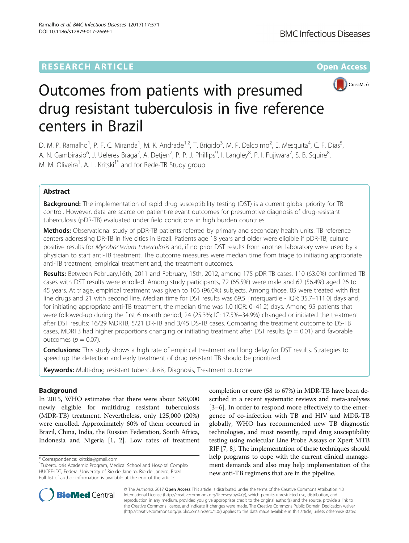## **RESEARCH ARTICLE External Structure Community Community Community Community Community Community Community Community**



# Outcomes from patients with presumed drug resistant tuberculosis in five reference centers in Brazil

D. M. P. Ramalho<sup>1</sup>, P. F. C. Miranda<sup>1</sup>, M. K. Andrade<sup>1,2</sup>, T. Brígido<sup>3</sup>, M. P. Dalcolmo<sup>2</sup>, E. Mesquita<sup>4</sup>, C. F. Dias<sup>5</sup> , A. N. Gambirasio<sup>6</sup>, J. Ueleres Braga<sup>2</sup>, A. Detjen<sup>7</sup>, P. P. J. Phillips<sup>9</sup>, I. Langley<sup>8</sup>, P. I. Fujiwara<sup>7</sup>, S. B. Squire<sup>8</sup> , M. M. Oliveira<sup>1</sup>, A. L. Kritski<sup>1\*</sup> and for Rede-TB Study group

## Abstract

**Background:** The implementation of rapid drug susceptibility testing (DST) is a current global priority for TB control. However, data are scarce on patient-relevant outcomes for presumptive diagnosis of drug-resistant tuberculosis (pDR-TB) evaluated under field conditions in high burden countries.

Methods: Observational study of pDR-TB patients referred by primary and secondary health units. TB reference centers addressing DR-TB in five cities in Brazil. Patients age 18 years and older were eligible if pDR-TB, culture positive results for Mycobacterium tuberculosis and, if no prior DST results from another laboratory were used by a physician to start anti-TB treatment. The outcome measures were median time from triage to initiating appropriate anti-TB treatment, empirical treatment and, the treatment outcomes.

Results: Between February,16th, 2011 and February, 15th, 2012, among 175 pDR TB cases, 110 (63.0%) confirmed TB cases with DST results were enrolled. Among study participants, 72 (65.5%) were male and 62 (56.4%) aged 26 to 45 years. At triage, empirical treatment was given to 106 (96.0%) subjects. Among those, 85 were treated with first line drugs and 21 with second line. Median time for DST results was 69.5 [interquartile - IQR: 35.7–111.0] days and, for initiating appropriate anti-TB treatment, the median time was 1.0 (IQR: 0–41.2) days. Among 95 patients that were followed-up during the first 6 month period, 24 (25.3%; IC: 17.5%–34.9%) changed or initiated the treatment after DST results: 16/29 MDRTB, 5/21 DR-TB and 3/45 DS-TB cases. Comparing the treatment outcome to DS-TB cases, MDRTB had higher proportions changing or initiating treatment after DST results ( $p = 0.01$ ) and favorable outcomes ( $p = 0.07$ ).

**Conclusions:** This study shows a high rate of empirical treatment and long delay for DST results. Strategies to speed up the detection and early treatment of drug resistant TB should be prioritized.

Keywords: Multi-drug resistant tuberculosis, Diagnosis, Treatment outcome

## Background

In 2015, WHO estimates that there were about 580,000 newly eligible for multidrug resistant tuberculosis (MDR-TB) treatment. Nevertheless, only 125,000 (20%) were enrolled. Approximately 60% of them occurred in Brazil, China, India, the Russian Federation, South Africa, Indonesia and Nigeria [\[1](#page-11-0), [2](#page-11-0)]. Low rates of treatment completion or cure (58 to 67%) in MDR-TB have been described in a recent systematic reviews and meta-analyses [[3](#page-11-0)–[6](#page-11-0)]. In order to respond more effectively to the emergence of co-infection with TB and HIV and MDR-TB globally, WHO has recommended new TB diagnostic technologies, and most recently, rapid drug susceptibility testing using molecular Line Probe Assays or Xpert MTB RIF [[7](#page-11-0), [8](#page-11-0)]. The implementation of these techniques should help programs to cope with the current clinical management demands and also may help implementation of the new anti-TB regimens that are in the pipeline.



© The Author(s). 2017 **Open Access** This article is distributed under the terms of the Creative Commons Attribution 4.0 International License [\(http://creativecommons.org/licenses/by/4.0/](http://creativecommons.org/licenses/by/4.0/)), which permits unrestricted use, distribution, and reproduction in any medium, provided you give appropriate credit to the original author(s) and the source, provide a link to the Creative Commons license, and indicate if changes were made. The Creative Commons Public Domain Dedication waiver [\(http://creativecommons.org/publicdomain/zero/1.0/](http://creativecommons.org/publicdomain/zero/1.0/)) applies to the data made available in this article, unless otherwise stated.

<sup>\*</sup> Correspondence: [kritskia@gmail.com](mailto:kritskia@gmail.com) <sup>1</sup>

Tuberculosis Academic Program, Medical School and Hospital Complex HUCFF-IDT, Federal University of Rio de Janeiro, Rio de Janeiro, Brazil Full list of author information is available at the end of the article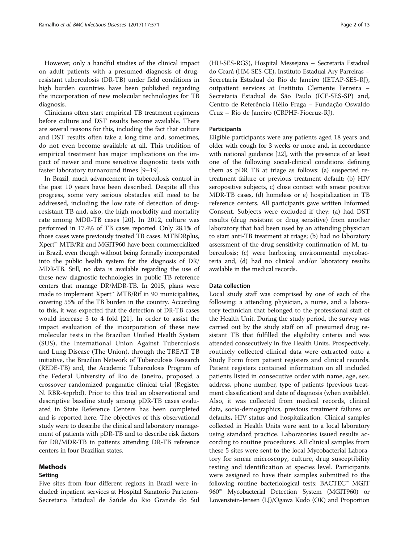However, only a handful studies of the clinical impact on adult patients with a presumed diagnosis of drugresistant tuberculosis (DR-TB) under field conditions in high burden countries have been published regarding the incorporation of new molecular technologies for TB diagnosis.

Clinicians often start empirical TB treatment regimens before culture and DST results become available. There are several reasons for this, including the fact that culture and DST results often take a long time and, sometimes, do not even become available at all. This tradition of empirical treatment has major implications on the impact of newer and more sensitive diagnostic tests with faster laboratory turnaround times [\[9](#page-11-0)–[19](#page-11-0)].

In Brazil, much advancement in tuberculosis control in the past 10 years have been described. Despite all this progress, some very serious obstacles still need to be addressed, including the low rate of detection of drugresistant TB and, also, the high morbidity and mortality rate among MDR-TB cases [\[20\]](#page-11-0). In 2012, culture was performed in 17.4% of TB cases reported. Only 28.1% of those cases were previously treated TB cases. MTBDRplus, Xpert™ MTB/Rif and MGIT960 have been commercialized in Brazil, even though without being formally incorporated into the public health system for the diagnosis of DR/ MDR-TB. Still, no data is available regarding the use of these new diagnostic technologies in public TB reference centers that manage DR/MDR-TB. In 2015, plans were made to implement Xpert™ MTB/Rif in 90 municipalities, covering 55% of the TB burden in the country. According to this, it was expected that the detection of DR-TB cases would increase 3 to 4 fold [[21](#page-11-0)]. In order to assist the impact evaluation of the incorporation of these new molecular tests in the Brazilian Unified Health System (SUS), the International Union Against Tuberculosis and Lung Disease (The Union), through the TREAT TB initiative, the Brazilian Network of Tuberculosis Research (REDE-TB) and, the Academic Tuberculosis Program of the Federal University of Rio de Janeiro, proposed a crossover randomized pragmatic clinical trial (Register N. RBR-4rprbd). Prior to this trial an observational and descriptive baseline study among pDR-TB cases evaluated in State Reference Centers has been completed and is reported here. The objectives of this observational study were to describe the clinical and laboratory management of patients with pDR-TB and to describe risk factors for DR/MDR-TB in patients attending DR-TB reference centers in four Brazilian states.

#### Methods

#### Setting

Five sites from four different regions in Brazil were included: inpatient services at Hospital Sanatorio Partenon-Secretaria Estadual de Saúde do Rio Grande do Sul (HU-SES-RGS), Hospital Messejana – Secretaria Estadual do Ceará (HM-SES-CE), Instituto Estadual Ary Parreiras – Secretaria Estadual do Rio de Janeiro (IETAP-SES-RJ), outpatient services at Instituto Clemente Ferreira – Secretaria Estadual de São Paulo (ICF-SES-SP) and, Centro de Referência Hélio Fraga – Fundação Oswaldo Cruz – Rio de Janeiro (CRPHF-Fiocruz-RJ).

#### **Participants**

Eligible participants were any patients aged 18 years and older with cough for 3 weeks or more and, in accordance with national guidance [\[22\]](#page-11-0), with the presence of at least one of the following social-clinical conditions defining them as pDR TB at triage as follows: (a) suspected retreatment failure or previous treatment default; (b) HIV seropositive subjects, c) close contact with smear positive MDR-TB cases, (d) homeless or e) hospitalization in TB reference centers. All participants gave written Informed Consent. Subjects were excluded if they: (a) had DST results (drug resistant or drug sensitive) from another laboratory that had been used by an attending physician to start anti-TB treatment at triage; (b) had no laboratory assessment of the drug sensitivity confirmation of M. tuberculosis; (c) were harboring environmental mycobacteria and, (d) had no clinical and/or laboratory results available in the medical records.

#### Data collection

Local study staff was comprised by one of each of the following: a attending physician, a nurse, and a laboratory technician that belonged to the professional staff of the Health Unit. During the study period, the survey was carried out by the study staff on all presumed drug resistant TB that fulfilled the eligibility criteria and was attended consecutively in five Health Units. Prospectively, routinely collected clinical data were extracted onto a Study Form from patient registers and clinical records. Patient registers contained information on all included patients listed in consecutive order with name, age, sex, address, phone number, type of patients (previous treatment classification) and date of diagnosis (when available). Also, it was collected from medical records, clinical data, socio-demographics, previous treatment failures or defaults, HIV status and hospitalization. Clinical samples collected in Health Units were sent to a local laboratory using standard practice. Laboratories issued results according to routine procedures. All clinical samples from these 5 sites were sent to the local Mycobacterial Laboratory for smear microscopy, culture, drug susceptibility testing and identification at species level. Participants were assigned to have their samples submitted to the following routine bacteriological tests: BACTEC™ MGIT 960™ Mycobacterial Detection System (MGIT960) or Lowenstein-Jensen (LJ)/Ogawa Kudo (OK) and Proportion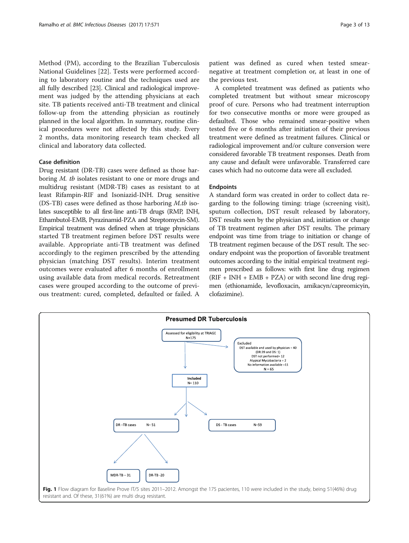<span id="page-2-0"></span>Method (PM), according to the Brazilian Tuberculosis National Guidelines [\[22](#page-11-0)]. Tests were performed according to laboratory routine and the techniques used are all fully described [\[23](#page-11-0)]. Clinical and radiological improvement was judged by the attending physicians at each site. TB patients received anti-TB treatment and clinical follow-up from the attending physician as routinely planned in the local algorithm. In summary, routine clinical procedures were not affected by this study. Every 2 months, data monitoring research team checked all clinical and laboratory data collected.

#### Case definition

Drug resistant (DR-TB) cases were defined as those harboring M. tb isolates resistant to one or more drugs and multidrug resistant (MDR-TB) cases as resistant to at least Rifampin-RIF and Isoniazid-INH. Drug sensitive (DS-TB) cases were defined as those harboring M.tb isolates susceptible to all first-line anti-TB drugs (RMP, INH, Ethambutol-EMB, Pyrazinamid-PZA and Streptomycin-SM). Empirical treatment was defined when at triage physicians started TB treatment regimen before DST results were available. Appropriate anti-TB treatment was defined accordingly to the regimen prescribed by the attending physician (matching DST results). Interim treatment outcomes were evaluated after 6 months of enrollment using available data from medical records. Retreatment cases were grouped according to the outcome of previous treatment: cured, completed, defaulted or failed. A

patient was defined as cured when tested smearnegative at treatment completion or, at least in one of the previous test.

A completed treatment was defined as patients who completed treatment but without smear microscopy proof of cure. Persons who had treatment interruption for two consecutive months or more were grouped as defaulted. Those who remained smear-positive when tested five or 6 months after initiation of their previous treatment were defined as treatment failures. Clinical or radiological improvement and/or culture conversion were considered favorable TB treatment responses. Death from any cause and default were unfavorable. Transferred care cases which had no outcome data were all excluded.

### Endpoints

A standard form was created in order to collect data regarding to the following timing: triage (screening visit), sputum collection, DST result released by laboratory, DST results seen by the physician and, initiation or change of TB treatment regimen after DST results. The primary endpoint was time from triage to initiation or change of TB treatment regimen because of the DST result. The secondary endpoint was the proportion of favorable treatment outcomes according to the initial empirical treatment regimen prescribed as follows: with first line drug regimen (RIF + INH + EMB + PZA) or with second line drug regimen (ethionamide, levofloxacin, amikacyn/capreomicyin, clofazimine).

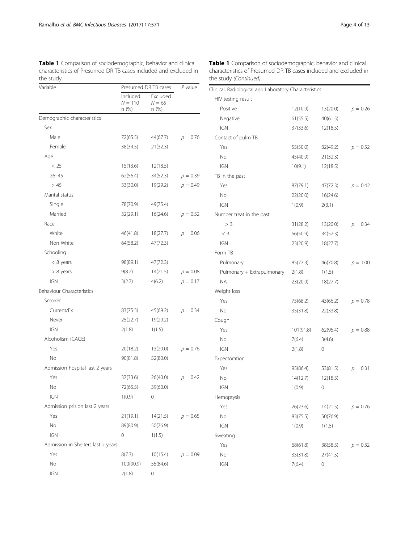<span id="page-3-0"></span>Table 1 Comparison of sociodemographic, behavior and clinical characteristics of Presumed DR TB cases included and excluded in the study

| Variable                           | Presumed DR TB cases |                   | $P$ value  | Clinical, Radiological and Laboratory Characteristics |           |                     |            |  |
|------------------------------------|----------------------|-------------------|------------|-------------------------------------------------------|-----------|---------------------|------------|--|
|                                    | Included             | Excluded          |            | HIV testing result                                    |           |                     |            |  |
|                                    | $N = 110$<br>n (%)   | $N = 65$<br>n (%) |            | Positive                                              | 12(10.9)  | 13(20.0)            | $p = 0.26$ |  |
| Demographic characteristics        |                      |                   |            | Negative                                              | 61(55.5)  | 40(61.5)            |            |  |
| Sex                                |                      |                   |            | IGN                                                   | 37(33.6)  | 12(18.5)            |            |  |
| Male                               | 72(65.5)             | 44(67.7)          | $p = 0.76$ | Contact of pulm TB                                    |           |                     |            |  |
| Female                             | 38(34.5)             | 21(32.3)          |            | Yes                                                   | 55(50.0)  | 32(49.2)            | $p = 0.52$ |  |
| Age                                |                      |                   |            | No                                                    | 45(40.9)  | 21(32.3)            |            |  |
| < 25                               | 15(13.6)             | 12(18.5)          |            | <b>IGN</b>                                            | 10(9.1)   | 12(18.5)            |            |  |
| $26 - 45$                          | 62(56.4)             | 34(52.3)          | $p = 0.39$ | TB in the past                                        |           |                     |            |  |
| >45                                | 33(30.0)             | 19(29.2)          | $p = 0.49$ | Yes                                                   | 87(79.1)  | 47(72.3)            | $p = 0.42$ |  |
| Marital status                     |                      |                   |            | No                                                    | 22(20.0)  | 16(24.6)            |            |  |
| Single                             | 78(70.9)             | 49(75.4)          |            | <b>IGN</b>                                            | 1(0.9)    | 2(3.1)              |            |  |
| Married                            | 32(29.1)             | 16(24.6)          | $p = 0.52$ | Number treat in the past                              |           |                     |            |  |
| Race                               |                      |                   |            | $=$ > 3                                               | 31(28.2)  | 13(20.0)            | $p = 0.34$ |  |
| White                              | 46(41.8)             | 18(27.7)          | $p = 0.06$ | $<$ 3                                                 | 56(50.9)  | 34(52.3)            |            |  |
| Non White                          | 64(58.2)             | 47(72.3)          |            | IGN                                                   | 23(20.9)  | 18(27.7)            |            |  |
| Schooling                          |                      |                   |            | Form TB                                               |           |                     |            |  |
| $< 8$ years                        | 98(89.1)             | 47(72.3)          |            | Pulmonary                                             | 85(77.3)  | 46(70.8)            | $p = 1.00$ |  |
| $> 8$ years                        | 9(8.2)               | 14(21.5)          | $p = 0.08$ | Pulmonary + Extrapulmonary                            | 2(1.8)    | 1(1.5)              |            |  |
| <b>IGN</b>                         | 3(2.7)               | 4(6.2)            | $p = 0.17$ | <b>NA</b>                                             | 23(20.9)  | 18(27.7)            |            |  |
| <b>Behaviour Characteristics</b>   |                      |                   |            | Weight loss                                           |           |                     |            |  |
| Smoker                             |                      |                   |            | Yes                                                   | 75(68.2)  | 43(66.2)            | $p = 0.78$ |  |
| Current/Ex                         | 83(75.5)             | 45(69.2)          | $p = 0.34$ | No                                                    | 35(31.8)  | 22(33.8)            |            |  |
| Never                              | 25(22.7)             | 19(29.2)          |            | Cough                                                 |           |                     |            |  |
| IGN                                | 2(1.8)               | 1(1.5)            |            | Yes                                                   | 101(91.8) | 62(95.4)            | $p = 0.88$ |  |
| Alcoholism (CAGE)                  |                      |                   |            | No                                                    | 7(6.4)    | 3(4.6)              |            |  |
| Yes                                | 20(18.2)             | 13(20.0)          | $p = 0.76$ | IGN                                                   | 2(1.8)    | $\mathbf 0$         |            |  |
| No                                 | 90(81.8)             | 52(80.0)          |            | Expectoration                                         |           |                     |            |  |
| Admission hospital last 2 years    |                      |                   |            | Yes                                                   | 95(86.4)  | 53(81.5)            | $p = 0.31$ |  |
| Yes                                | 37(33.6)             | 26(40.0)          | $p = 0.42$ | No                                                    | 14(12.7)  | 12(18.5)            |            |  |
| No                                 | 72(65.5)             | 39(60.0)          |            | IGN                                                   | 1(0.9)    | 0                   |            |  |
| IGN                                | 1(0.9)               | $\circ$           |            | Hemoptysis                                            |           |                     |            |  |
| Admission prision last 2 years     |                      |                   |            | Yes                                                   | 26(23.6)  | 14(21.5)            | $p = 0.76$ |  |
| Yes                                | 21(19.1)             | 14(21.5)          | $p = 0.65$ | No                                                    | 83(75.5)  | 50(76.9)            |            |  |
| No                                 | 89(80.9)             | 50(76.9)          |            | <b>IGN</b>                                            | 1(0.9)    | 1(1.5)              |            |  |
| IGN                                | $\circ$              | 1(1.5)            |            | Sweating                                              |           |                     |            |  |
| Admission in Shelters last 2 years |                      |                   |            | Yes                                                   | 68(61.8)  | 38(58.5)            | $p = 0.32$ |  |
| Yes                                | 8(7.3)               | 10(15.4)          | $p = 0.09$ | No                                                    | 35(31.8)  | 27(41.5)            |            |  |
| No                                 | 100(90.9)            | 55(84.6)          |            | IGN                                                   | 7(6.4)    | $\mathsf{O}\xspace$ |            |  |
| IGN                                | 2(1.8)               | $\circ$           |            |                                                       |           |                     |            |  |

Table 1 Comparison of sociodemographic, behavior and clinical characteristics of Presumed DR TB cases included and excluded in the study (Continued)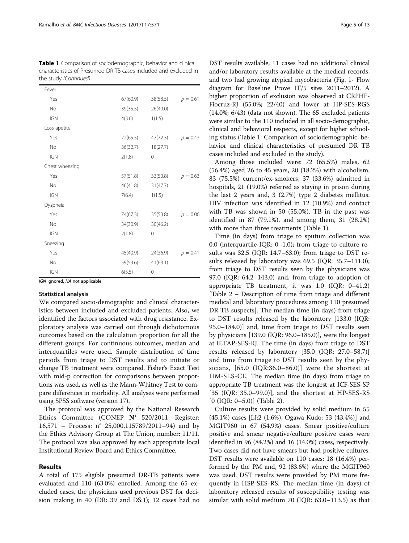| une stuur (commutu) |          |          |            |
|---------------------|----------|----------|------------|
| Fever               |          |          |            |
| Yes                 | 67(60.9) | 38(58.5) | $p = 0.61$ |
| No                  | 39(35.5) | 26(40.0) |            |
| <b>IGN</b>          | 4(3.6)   | 1(1.5)   |            |
| Loss apetite        |          |          |            |
| Yes                 | 72(65.5) | 47(72.3) | $p = 0.43$ |
| <b>No</b>           | 36(32.7) | 18(27.7) |            |
| IGN                 | 2(1.8)   | 0        |            |
| Chest wheezing      |          |          |            |
| Yes                 | 57(51.8) | 33(50.8) | $p = 0.63$ |
| <b>No</b>           | 46(41.8) | 31(47.7) |            |
| <b>IGN</b>          | 7(6.4)   | 1(1.5)   |            |
| Dyspneia            |          |          |            |
| Yes                 | 74(67.3) | 35(53.8) | $p = 0.06$ |
| No                  | 34(30.9) | 30(46.2) |            |
| <b>IGN</b>          | 2(1.8)   | 0        |            |
| Sneezing            |          |          |            |
| Yes                 | 45(40.9) | 24(36.9) | $p = 0.41$ |
| <b>No</b>           | 59(53.6) | 41(63.1) |            |
| IGN                 | 6(5.5)   | 0        |            |

Table 1 Comparison of sociodemographic, behavior and clinical characteristics of Presumed DR TB cases included and excluded in the study (Continued)

IGN ignored, NA not applicable

#### Statistical analysis

We compared socio-demographic and clinical characteristics between included and excluded patients. Also, we identified the factors associated with drug resistance. Exploratory analysis was carried out through dichotomous outcomes based on the calculation proportion for all the different groups. For continuous outcomes, median and interquartiles were used. Sample distribution of time periods from triage to DST results and to initiate or change TB treatment were compared. Fisher's Exact Test with mid-p correction for comparisons between proportions was used, as well as the Mann-Whitney Test to compare differences in morbidity. All analyses were performed using SPSS software (version 17).

The protocol was approved by the National Research Ethics Committee (CONEP N° 520/2011; Register: 16,571 – Process: n° 25,000.115789/2011–94) and by the Ethics Advisory Group at The Union, number: 11/11. The protocol was also approved by each appropriate local Institutional Review Board and Ethics Committee.

#### Results

A total of 175 eligible presumed DR-TB patients were evaluated and 110 (63.0%) enrolled. Among the 65 excluded cases, the physicians used previous DST for decision making in 40 (DR: 39 and DS:1); 12 cases had no DST results available, 11 cases had no additional clinical and/or laboratory results available at the medical records, and two had growing atypical mycobacteria (Fig. [1](#page-2-0)- Flow diagram for Baseline Prove IT/5 sites 2011–2012). A higher proportion of exclusion was observed at CRPHF-Fiocruz-RJ (55.0%; 22/40) and lower at HP-SES-RGS (14.0%; 6/43) (data not shown). The 65 excluded patients were similar to the 110 included in all socio-demographic, clinical and behavioral respects, except for higher schooling status (Table [1](#page-3-0): Comparison of sociodemographic, behavior and clinical characteristics of presumed DR TB cases included and excluded in the study).

Among those included were: 72 (65.5%) males, 62 (56.4%) aged 26 to 45 years, 20 (18.2%) with alcoholism, 83 (75.5%) current/ex-smokers, 37 (33.6%) admitted in hospitals, 21 (19.0%) referred as staying in prison during the last 2 years and, 3 (2.7%) type 2 diabetes mellitus. HIV infection was identified in 12 (10.9%) and contact with TB was shown in 50 (55.0%). TB in the past was identified in 87 (79.1%), and among them, 31 (28.2%) with more than three treatments (Table [1](#page-3-0)).

Time (in days) from triage to sputum collection was 0.0 (interquartile-IQR: 0–1.0); from triage to culture results was 32.5 (IQR: 14.7–63.0); from triage to DST results released by laboratory was 69.5 (IQR: 35.7–111.0); from triage to DST results seen by the physicians was 97.0 (IQR: 64.2–143.0) and, from triage to adoption of appropriate TB treatment, it was 1.0 (IQR: 0–41.2) [Table [2](#page-5-0) – Description of time from triage and different medical and laboratory procedures among 110 presumed DR TB suspects]. The median time (in days) from triage to DST results released by the laboratory [133.0 (IQR: 95.0–184.0)] and, time from triage to DST results seen by physicians [139.0 (IQR: 96.0–185.0)], were the longest at IETAP-SES-RJ. The time (in days) from triage to DST results released by laboratory [35.0 (IQR: 27.0–58.7)] and time from triage to DST results seen by the physicians, [65.0 (IQR:36.0–86.0)] were the shortest at HM-SES-CE. The median time (in days) from triage to appropriate TB treatment was the longest at ICF-SES-SP [35 (IQR: 35.0–99.0)], and the shortest at HP-SES-RS [0 (IQR: 0–5.0)] (Table [2](#page-5-0)).

Culture results were provided by solid medium in 55 (45.1%) cases [LJ:2 (1.6%), Ogawa Kudo: 53 (43.4%)] and MGIT960 in 67 (54.9%) cases. Smear positive/culture positive and smear negative/culture positive cases were identified in 96 (84.2%) and 16 (14.0%) cases, respectively. Two cases did not have smears but had positive cultures. DST results were available on 110 cases: 18 (16.4%) performed by the PM and, 92 (83.6%) where the MGIT960 was used. DST results were provided by PM more frequently in HSP-SES-RS. The median time (in days) of laboratory released results of susceptibility testing was similar with solid medium 70 (IQR: 63.0–113.5) as that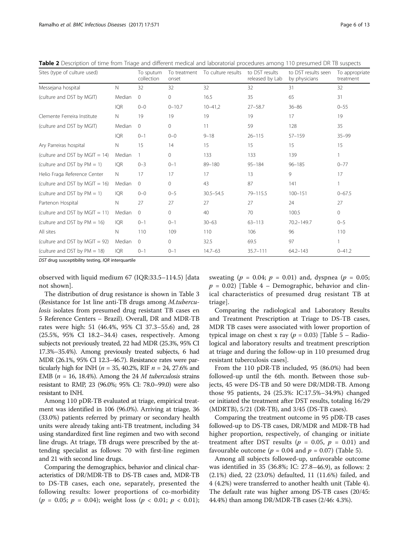<span id="page-5-0"></span>

| Sites (type of culture used)      |             | To sputum<br>collection | To treatment<br>onset | To culture results | to DST results<br>released by Lab | to DST results seen<br>by physicians | To appropriate<br>treatment |
|-----------------------------------|-------------|-------------------------|-----------------------|--------------------|-----------------------------------|--------------------------------------|-----------------------------|
| Messejana hospital                | $\mathbb N$ | 32                      | 32                    | 32                 | 32                                | 31                                   | 32                          |
| (culture and DST by MGIT)         | Median      | $\mathbf{0}$            | $\circ$               | 16.5               | 35                                | 65                                   | 31                          |
|                                   | <b>IQR</b>  | $0 - 0$                 | $0 - 10.7$            | $10 - 41.2$        | $27 - 58.7$                       | $36 - 86$                            | $0 - 55$                    |
| Clemente Ferreira Institute       | N           | 19                      | 19                    | 19                 | 19                                | 17                                   | 19                          |
| (culture and DST by MGIT)         | Median      | $\mathbf{0}$            | $\mathbf{0}$          | 11                 | 59                                | 128                                  | 35                          |
|                                   | <b>IQR</b>  | $0 - 1$                 | $0 - 0$               | $9 - 18$           | $26 - 115$                        | $57 - 159$                           | $35 - 99$                   |
| Ary Parreiras hospital            | N           | 15                      | 14                    | 15                 | 15                                | 15                                   | 15                          |
| (culture and DST by $MGIT = 14$ ) | Median      |                         | $\mathbf{0}$          | 133                | 133                               | 139                                  | $\mathbf{1}$                |
| (culture and DST by $PM = 1$ )    | <b>IQR</b>  | $0 - 3$                 | $0 - 1$               | 89-180             | $95 - 184$                        | $96 - 185$                           | $0 - 77$                    |
| Helio Fraga Reference Center      | N           | 17                      | 17                    | 17                 | 13                                | 9                                    | 17                          |
| (culture and DST by $MGIT = 16$ ) | Median      | $\mathbf{0}$            | $\mathbf{0}$          | 43                 | 87                                | 141                                  | 1                           |
| (culture and DST by $PM = 1$ )    | <b>IQR</b>  | $0 - 0$                 | $0 - 5$               | $30.5 - 54.5$      | 79-115.5                          | $100 - 151$                          | $0 - 67.5$                  |
| Partenon Hospital                 | N           | 27                      | 27                    | 27                 | 27                                | 24                                   | 27                          |
| (culture and DST by $MGIT = 11$ ) | Median      | $\overline{0}$          | 0                     | 40                 | 70                                | 100.5                                | 0                           |
| (culture and DST by $PM = 16$ )   | <b>IQR</b>  | $0 - 1$                 | $0 - 1$               | $30 - 63$          | $63 - 113$                        | 70.2-149.7                           | $0 - 5$                     |
| All sites                         | N           | 110                     | 109                   | 110                | 106                               | 96                                   | 110                         |
| (culture and DST by $MGIT = 92$ ) | Median      | $\overline{0}$          | $\Omega$              | 32.5               | 69.5                              | 97                                   | 1                           |
| (culture and DST by PM = 18)      | <b>IQR</b>  | $0 - 1$                 | $0 - 1$               | $14.7 - 63$        | $35.7 - 111$                      | $64.2 - 143$                         | $0 - 41.2$                  |

DST drug susceptibility testing, IQR interquartile

observed with liquid medium 67 (IQR:33.5–114.5) [data not shown].

The distribution of drug resistance is shown in Table [3](#page-6-0) (Resistance for 1st line anti-TB drugs among M.tuberculosis isolates from presumed drug resistant TB cases en 5 Reference Centers – Brazil). Overall, DR and MDR-TB rates were high: 51 (46.4%, 95% CI 37.3–55.6) and, 28 (25.5%, 95% CI 18.2–34.4) cases, respectively. Among subjects not previously treated, 22 had MDR (25.3%, 95% CI 17.3%–35.4%). Among previously treated subjects, 6 had MDR (26.1%, 95% CI 12.3–46.7). Resistance rates were particularly high for INH ( $n = 35, 40.2\%$ , RIF  $n = 24, 27.6\%$  and EMB ( $n = 16$ , 18.4%). Among the 24 *M tuberculosis* strains resistant to RMP, 23 (96.0%; 95% CI: 78.0–99.0) were also resistant to INH.

Among 110 pDR-TB evaluated at triage, empirical treatment was identified in 106 (96.0%). Arriving at triage, 36 (33.0%) patients referred by primary or secondary health units were already taking anti-TB treatment, including 34 using standardized first line regimen and two with second line drugs. At triage, TB drugs were prescribed by the attending specialist as follows: 70 with first-line regimen and 21 with second line drugs.

Comparing the demographics, behavior and clinical characteristics of DR/MDR-TB to DS-TB cases and, MDR-TB to DS-TB cases, each one, separately, presented the following results: lower proportions of co-morbidity  $(p = 0.05; p = 0.04)$ ; weight loss  $(p < 0.01; p < 0.01)$ ; sweating ( $p = 0.04$ ;  $p = 0.01$ ) and, dyspnea ( $p = 0.05$ ;  $p = 0.02$ ) [Table [4](#page-7-0) – Demographic, behavior and clinical characteristics of presumed drug resistant TB at triage].

Comparing the radiological and Laboratory Results and Treatment Prescription at Triage to DS-TB cases, MDR TB cases were associated with lower proportion of typical image on chest x ray ( $p = 0.03$ ) [Table [5](#page-9-0) – Radiological and laboratory results and treatment prescription at triage and during the follow-up in 110 presumed drug resistant tuberculosis cases].

From the 110 pDR-TB included, 95 (86.0%) had been followed-up until the 6th. month. Between those subjects, 45 were DS-TB and 50 were DR/MDR-TB. Among those 95 patients, 24 (25.3%: IC:17.5%–34.9%) changed or initiated the treatment after DST results, totaling 16/29 (MDRTB), 5/21 (DR-TB), and 3/45 (DS-TB cases).

Comparing the treatment outcome in 95 pDR-TB cases followed-up to DS-TB cases, DR/MDR and MDR-TB had higher proportion, respectively, of changing or initiate treatment after DST results ( $p = 0.05$ ,  $p = 0.01$ ) and favourable outcome ( $p = 0.04$  and  $p = 0.07$ ) (Table [5\)](#page-9-0).

Among all subjects followed-up, unfavorable outcome was identified in 35 (36.8%; IC: 27.8–46.9), as follows: 2 (2.1%) died, 22 (23.0%) defaulted, 11 (11.6%) failed, and 4 (4.2%) were transferred to another health unit (Table [4](#page-7-0)). The default rate was higher among DS-TB cases (20/45: 44.4%) than among DR/MDR-TB cases (2/46: 4.3%).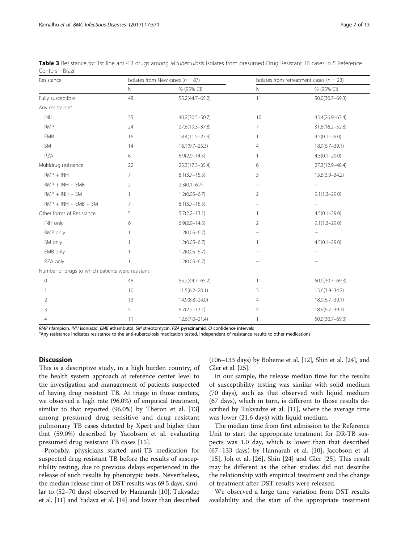| Resistance                                       |    | Isolates from New cases ( $n = 87$ ) | Isolates from retreatment cases ( $n = 23$ ) |                     |  |
|--------------------------------------------------|----|--------------------------------------|----------------------------------------------|---------------------|--|
|                                                  | Ν  | % (95% CI)                           | $\mathsf{N}$                                 | % (95% CI)          |  |
| Fully susceptible                                | 48 | 55.2(44.7-65.2)                      | 11                                           | 50.0(30.7-69.3)     |  |
| Any resistance <sup>a</sup>                      |    |                                      |                                              |                     |  |
| <b>INH</b>                                       | 35 | $40.2(30.5 - 50.7)$                  | 10                                           | 45.4(26.9-63.4)     |  |
| <b>RMP</b>                                       | 24 | 27.6(19.3-37.8)                      | 7                                            | 31.8(16.2-52.8)     |  |
| <b>EMB</b>                                       | 16 | 18.4(11.5-27.9)                      |                                              | $4.5(0.1 - 29.0)$   |  |
| <b>SM</b>                                        | 14 | $16.1(9.7 - 25.3)$                   | $\overline{4}$                               | $18.9(6.7 - 39.1)$  |  |
| PZA                                              | 6  | $6.9(2.9 - 14.5)$                    |                                              | $4.5(0.1 - 29.0)$   |  |
| Multidrug resistance                             | 22 | $25.3(17.3 - 35.4)$                  | 6                                            | 27.3(12.9-48.4)     |  |
| $RMP + INH$                                      | 7  | $8.1(3.7 - 15.5)$                    | 3                                            | $13.6(3.9 - 34.2)$  |  |
| $RMP + INH + EMB$                                | 2  | $2.3(0.1 - 6.7)$                     |                                              |                     |  |
| $RMP + INH + SM$                                 | 1  | $1.2(0.05 - 6.7)$                    | $\overline{2}$                               | $9.1(1.3 - 29.0)$   |  |
| $RMP + INH + EMB + SM$                           | 7  | $8.1(3.7 - 15.5)$                    |                                              |                     |  |
| Other forms of Resistance                        | 5  | $5.7(2.2 - 13.1)$                    |                                              | $4.5(0.1 - 29.0)$   |  |
| INH only                                         | 6  | $6.9(2.9 - 14.5)$                    | $\overline{2}$                               | $9.1(1.3 - 29.0)$   |  |
| RMP only                                         | 1  | $1.2(0.05 - 6.7)$                    |                                              |                     |  |
| SM only                                          | 1  | $1.2(0.05 - 6.7)$                    | 1                                            | $4.5(0.1 - 29.0)$   |  |
| EMB only                                         | 1  | $1.2(0.05 - 6.7)$                    |                                              |                     |  |
| PZA only                                         | 1  | $1.2(0.05 - 6.7)$                    |                                              |                     |  |
| Number of drugs to which patients were resistant |    |                                      |                                              |                     |  |
| $\mathsf{O}\xspace$                              | 48 | 55.2(44.7-65.2)                      | 11                                           | $50.0(30.7 - 69.3)$ |  |
|                                                  | 10 | $11.5(6.2 - 20.1)$                   | 3                                            | $13.6(3.9 - 34.2)$  |  |
| 2                                                | 13 | $14.9(8.8 - 24.0)$                   | 4                                            | $18.9(6.7 - 39.1)$  |  |
| 3                                                | 5  | $5.7(2.2 - 13.1)$                    | 4                                            | $18.9(6.7 - 39.1)$  |  |
| 4                                                | 11 | $12.6(7.0 - 21.4)$                   |                                              | $50.0(30.7 - 69.3)$ |  |

<span id="page-6-0"></span>Table 3 Resistance for 1st line anti-TB drugs among M.tuberculosis isolates from presumed Drug Resistant TB cases in 5 Reference Centers - Brazil

RMP rifampicin, INH isoniazid, EMB ethambutol, SM streptomycin, PZA pyrazinamid, CI confidence intervals

<sup>a</sup> Any resistance indicates resistance to the anti-tuberculosis medication tested, independent of resistance results to other medications

#### **Discussion**

This is a descriptive study, in a high burden country, of the health system approach at reference center level to the investigation and management of patients suspected of having drug resistant TB. At triage in those centers, we observed a high rate (96.0%) of empirical treatment, similar to that reported (96.0%) by Theron et al. [[13](#page-11-0)] among presumed drug sensitive and drug resistant pulmonary TB cases detected by Xpert and higher than that (59.0%) described by Yacobson et al. evaluating presumed drug resistant TB cases [[15\]](#page-11-0).

Probably, physicians started anti-TB medication for suspected drug resistant TB before the results of susceptibility testing, due to previous delays experienced in the release of such results by phenotypic tests. Nevertheless, the median release time of DST results was 69.5 days, similar to (52–70 days) observed by Hannarah [\[10\]](#page-11-0), Tukvadze et al. [\[11\]](#page-11-0) and Yadava et al. [[14](#page-11-0)] and lower than described (106–133 days) by Boheme et al. [\[12\]](#page-11-0), Shin et al. [\[24\]](#page-11-0), and Gler et al. [\[25](#page-11-0)].

In our sample, the release median time for the results of susceptibility testing was similar with solid medium (70 days), such as that observed with liquid medium (67 days), which in turn, is different to those results described by Tukvadze et al. [[11\]](#page-11-0), where the average time was lower (21.6 days) with liquid medium.

The median time from first admission to the Reference Unit to start the appropriate treatment for DR-TB suspects was 1.0 day, which is lower than that described (67–133 days) by Hannarah et al. [[10\]](#page-11-0), Jacobson et al. [[15\]](#page-11-0), Joh et al. [\[26\]](#page-12-0), Shin [[24\]](#page-11-0) and Gler [\[25\]](#page-11-0). This result may be different as the other studies did not describe the relationship with empirical treatment and the change of treatment after DST results were released.

We observed a large time variation from DST results availability and the start of the appropriate treatment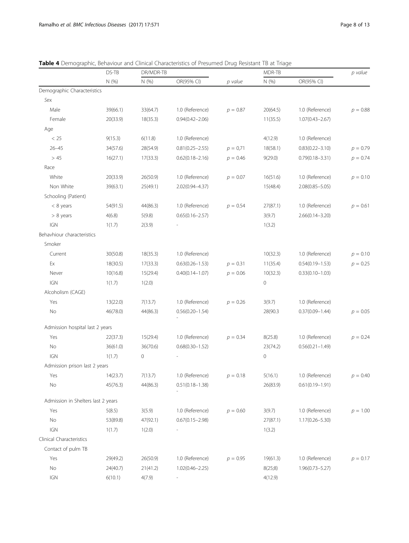|                                    | DS-TB    | DR/MDR-TB   |                     |            | MDR-TB      |                     |            |  |
|------------------------------------|----------|-------------|---------------------|------------|-------------|---------------------|------------|--|
|                                    | N(%)     | N(% )       | OR(95% CI)          | p value    | N (%)       | OR(95% CI)          |            |  |
| Demographic Characteristics        |          |             |                     |            |             |                     |            |  |
| Sex                                |          |             |                     |            |             |                     |            |  |
| Male                               | 39(66.1) | 33(64.7)    | 1.0 (Reference)     | $p = 0.87$ | 20(64.5)    | 1.0 (Reference)     | $p = 0.88$ |  |
| Female                             | 20(33.9) | 18(35.3)    | $0.94(0.42 - 2.06)$ |            | 11(35.5)    | $1.07(0.43 - 2.67)$ |            |  |
| Age                                |          |             |                     |            |             |                     |            |  |
| < 25                               | 9(15.3)  | 6(11.8)     | 1.0 (Reference)     |            | 4(12.9)     | 1.0 (Reference)     |            |  |
| $26 - 45$                          | 34(57.6) | 28(54.9)    | $0.81(0.25 - 2.55)$ | $p = 0.71$ | 18(58.1)    | $0.83(0.22 - 3.10)$ | $p = 0.79$ |  |
| >45                                | 16(27.1) | 17(33.3)    | $0.62(0.18 - 2.16)$ | $p = 0.46$ | 9(29.0)     | $0.79(0.18 - 3.31)$ | $p = 0.74$ |  |
| Race                               |          |             |                     |            |             |                     |            |  |
| White                              | 20(33.9) | 26(50.9)    | 1.0 (Reference)     | $p = 0.07$ | 16(51.6)    | 1.0 (Reference)     | $p = 0.10$ |  |
| Non White                          | 39(63.1) | 25(49.1)    | $2.02(0.94 - 4.37)$ |            | 15(48.4)    | $2.08(0.85 - 5.05)$ |            |  |
| Schooling (Patient)                |          |             |                     |            |             |                     |            |  |
| $< 8$ years                        | 54(91.5) | 44(86.3)    | 1.0 (Reference)     | $p = 0.54$ | 27(87.1)    | 1.0 (Reference)     | $p = 0.61$ |  |
| $> 8$ years                        | 4(6.8)   | 5(9.8)      | $0.65(0.16 - 2.57)$ |            | 3(9.7)      | $2.66(0.14 - 3.20)$ |            |  |
| IGN                                | 1(1.7)   | 2(3.9)      |                     |            | 1(3.2)      |                     |            |  |
| Behavhiour characteristics         |          |             |                     |            |             |                     |            |  |
| Smoker                             |          |             |                     |            |             |                     |            |  |
| Current                            | 30(50.8) | 18(35.3)    | 1.0 (Reference)     |            | 10(32.3)    | 1.0 (Reference)     | $p = 0.10$ |  |
| Ex                                 | 18(30.5) | 17(33.3)    | $0.63(0.26 - 1.53)$ | $p = 0.31$ | 11(35.4)    | $0.54(0.19 - 1.53)$ | $p = 0.25$ |  |
| Never                              | 10(16.8) | 15(29.4)    | $0.40(0.14 - 1.07)$ | $p = 0.06$ | 10(32.3)    | $0.33(0.10 - 1.03)$ |            |  |
| IGN                                | 1(1.7)   | 1(2.0)      |                     |            | $\mathbf 0$ |                     |            |  |
| Alcoholism (CAGE)                  |          |             |                     |            |             |                     |            |  |
| Yes                                | 13(22.0) | 7(13.7)     | 1.0 (Reference)     | $p = 0.26$ | 3(9.7)      | 1.0 (Reference)     |            |  |
| No                                 | 46(78.0) | 44(86.3)    | $0.56(0.20 - 1.54)$ |            | 28(90.3     | $0.37(0.09 - 1.44)$ | $p = 0.05$ |  |
|                                    |          |             |                     |            |             |                     |            |  |
| Admission hospital last 2 years    |          |             |                     |            |             |                     |            |  |
| Yes                                | 22(37.3) | 15(29.4)    | 1.0 (Reference)     | $p = 0.34$ | 8(25.8)     | 1.0 (Reference)     | $p = 0.24$ |  |
| No                                 | 36(61.0) | 36(70.6)    | $0.68(0.30 - 1.52)$ |            | 23(74.2)    | $0.56(0.21 - 1.49)$ |            |  |
| IGN                                | 1(1.7)   | $\mathbb O$ |                     |            | $\mathbf 0$ |                     |            |  |
| Admission prison last 2 years      |          |             |                     |            |             |                     |            |  |
| Yes                                | 14(23.7) | 7(13.7)     | 1.0 (Reference)     | $p = 0.18$ | 5(16.1)     | 1.0 (Reference)     | $p = 0.40$ |  |
| No                                 | 45(76.3) | 44(86.3)    | $0.51(0.18 - 1.38)$ |            | 26(83.9)    | $0.61(0.19 - 1.91)$ |            |  |
| Admission in Shelters last 2 years |          |             |                     |            |             |                     |            |  |
| Yes                                | 5(8.5)   | 3(5.9)      | 1.0 (Reference)     | $p = 0.60$ | 3(9.7)      | 1.0 (Reference)     | $p = 1.00$ |  |
| No                                 | 53(89.8) | 47(92.1)    | $0.67(0.15 - 2.98)$ |            | 27(87.1)    | $1.17(0.26 - 5.30)$ |            |  |
| IGN                                | 1(1.7)   | 1(2.0)      |                     |            | 1(3.2)      |                     |            |  |
| Clinical Characteristics           |          |             |                     |            |             |                     |            |  |
| Contact of pulm TB                 |          |             |                     |            |             |                     |            |  |
| Yes                                | 29(49.2) | 26(50.9)    | 1.0 (Reference)     | $p = 0.95$ | 19(61.3)    | 1.0 (Reference)     | $p = 0.17$ |  |
| No                                 | 24(40.7) | 21(41.2)    | $1.02(0.46 - 2.25)$ |            | 8(25;8)     | $1.96(0.73 - 5.27)$ |            |  |
| IGN                                | 6(10.1)  | 4(7.9)      |                     |            | 4(12.9)     |                     |            |  |

<span id="page-7-0"></span>Table 4 Demographic, Behaviour and Clinical Characteristics of Presumed Drug Resistant TB at Triage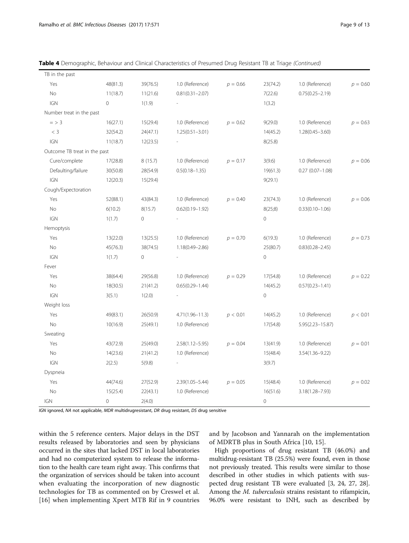| TB in the past               |                |              |                          |            |                |                      |            |
|------------------------------|----------------|--------------|--------------------------|------------|----------------|----------------------|------------|
| Yes                          | 48(81.3)       | 39(76.5)     | 1.0 (Reference)          | $p = 0.66$ | 23(74.2)       | 1.0 (Reference)      | $p = 0.60$ |
| No                           | 11(18.7)       | 11(21.6)     | $0.81(0.31 - 2.07)$      |            | 7(22.6)        | $0.75(0.25 - 2.19)$  |            |
| <b>IGN</b>                   | $\overline{0}$ | 1(1.9)       |                          |            | 1(3.2)         |                      |            |
| Number treat in the past     |                |              |                          |            |                |                      |            |
| $=$ > $\,3$                  | 16(27.1)       | 15(29.4)     | 1.0 (Reference)          | $p = 0.62$ | 9(29.0)        | 1.0 (Reference)      | $p = 0.63$ |
| $<$ 3                        | 32(54.2)       | 24(47.1)     | $1.25(0.51 - 3.01)$      |            | 14(45.2)       | $1.28(0.45 - 3.60)$  |            |
| <b>IGN</b>                   | 11(18.7)       | 12(23.5)     |                          |            | 8(25.8)        |                      |            |
| Outcome TB treat in the past |                |              |                          |            |                |                      |            |
| Cure/complete                | 17(28.8)       | 8(15.7)      | 1.0 (Reference)          | $p = 0.17$ | 3(9.6)         | 1.0 (Reference)      | $p = 0.06$ |
| Defaulting/failure           | 30(50.8)       | 28(54.9)     | $0.5(0.18 - 1.35)$       |            | 19(61.3)       | $0.27(0.07 - 1.08)$  |            |
| <b>IGN</b>                   | 12(20.3)       | 15(29.4)     |                          |            | 9(29.1)        |                      |            |
| Cough/Expectoration          |                |              |                          |            |                |                      |            |
| Yes                          | 52(88.1)       | 43(84.3)     | 1.0 (Reference)          | $p = 0.40$ | 23(74.3)       | 1.0 (Reference)      | $p = 0.06$ |
| <b>No</b>                    | 6(10.2)        | 8(15.7)      | $0.62(0.19 - 1.92)$      |            | 8(25;8)        | $0.33(0.10 - 1.06)$  |            |
| <b>IGN</b>                   | 1(1.7)         | $\mathbf{O}$ | ÷,                       |            | $\overline{0}$ |                      |            |
| Hemoptysis                   |                |              |                          |            |                |                      |            |
| Yes                          | 13(22.0)       | 13(25.5)     | 1.0 (Reference)          | $p = 0.70$ | 6(19.3)        | 1.0 (Reference)      | $p = 0.73$ |
| No                           | 45(76.3)       | 38(74.5)     | $1.18(0.49 - 2.86)$      |            | 25(80.7)       | $0.83(0.28 - 2.45)$  |            |
| <b>IGN</b>                   | 1(1.7)         | $\mathbb O$  |                          |            | $\mathbb O$    |                      |            |
| Fever                        |                |              |                          |            |                |                      |            |
| Yes                          | 38(64.4)       | 29(56.8)     | 1.0 (Reference)          | $p = 0.29$ | 17(54.8)       | 1.0 (Reference)      | $p = 0.22$ |
| No                           | 18(30.5)       | 21(41.2)     | $0.65(0.29 - 1.44)$      |            | 14(45.2)       | $0.57(0.23 - 1.41)$  |            |
| IGN                          | 3(5.1)         | 1(2.0)       | $\overline{\phantom{a}}$ |            | $\overline{0}$ |                      |            |
| Weight loss                  |                |              |                          |            |                |                      |            |
| Yes                          | 49(83.1)       | 26(50.9)     | $4.71(1.96 - 11.3)$      | p < 0.01   | 14(45.2)       | 1.0 (Reference)      | p < 0.01   |
| No                           | 10(16.9)       | 25(49.1)     | 1.0 (Reference)          |            | 17(54.8)       | $5.95(2.23 - 15.87)$ |            |
| Sweating                     |                |              |                          |            |                |                      |            |
| Yes                          | 43(72.9)       | 25(49.0)     | $2.58(1.12 - 5.95)$      | $p = 0.04$ | 13(41.9)       | 1.0 (Reference)      | $p = 0.01$ |
| No                           | 14(23.6)       | 21(41.2)     | 1.0 (Reference)          |            | 15(48.4)       | $3.54(1.36 - 9.22)$  |            |
| <b>IGN</b>                   | 2(2.5)         | 5(9.8)       | $\overline{\phantom{a}}$ |            | 3(9.7)         |                      |            |
| Dyspneia                     |                |              |                          |            |                |                      |            |
| Yes                          | 44(74.6)       | 27(52.9)     | $2.39(1.05 - 5.44)$      | $p = 0.05$ | 15(48.4)       | 1.0 (Reference)      | $p = 0.02$ |
| No                           | 15(25.4)       | 22(43.1)     | 1.0 (Reference)          |            | 16(51.6)       | $3.18(1.28 - 7.93)$  |            |
| <b>IGN</b>                   | $\mathbf 0$    | 2(4.0)       |                          |            | $\mathbb O$    |                      |            |

Table 4 Demographic, Behaviour and Clinical Characteristics of Presumed Drug Resistant TB at Triage (Continued)

IGN ignored, NA not applicable, MDR multidrugresistant, DR drug resistant, DS drug sensitive

within the 5 reference centers. Major delays in the DST results released by laboratories and seen by physicians occurred in the sites that lacked DST in local laboratories and had no computerized system to release the information to the health care team right away. This confirms that the organization of services should be taken into account when evaluating the incorporation of new diagnostic technologies for TB as commented on by Creswel et al. [[16\]](#page-11-0) when implementing Xpert MTB Rif in 9 countries and by Jacobson and Yannarah on the implementation of MDRTB plus in South Africa [[10, 15](#page-11-0)].

High proportions of drug resistant TB (46.0%) and multidrug-resistant TB (25.5%) were found, even in those not previously treated. This results were similar to those described in other studies in which patients with suspected drug resistant TB were evaluated [[3](#page-11-0), [24](#page-11-0), [27](#page-12-0), [28](#page-12-0)]. Among the M. tuberculosis strains resistant to rifampicin, 96.0% were resistant to INH, such as described by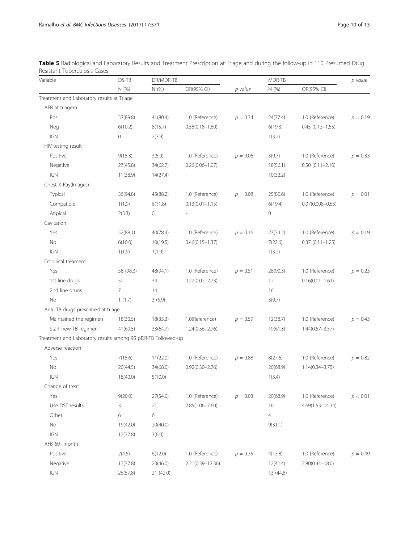| Variable                                                     | DS-TB          | DR/MDR-TB |                     |            | MDR-TB         |                      | p value    |
|--------------------------------------------------------------|----------------|-----------|---------------------|------------|----------------|----------------------|------------|
|                                                              | N (%)          | N (%)     | OR(95% CI)          | p value    | N (%)          | OR(95% CI)           |            |
| Treatment and Laboratory results at Triage                   |                |           |                     |            |                |                      |            |
| AFB at triagem                                               |                |           |                     |            |                |                      |            |
| Pos                                                          | 53(89.8)       | 41(80.4)  | 1.0 (Reference)     | $p = 0.34$ | 24(77.4)       | 1.0 (Reference)      | $p = 0.19$ |
| Neg                                                          | 6(10.2)        | 8(15.7)   | $0.58(0.18 - 1.80)$ |            | 6(19.3)        | $0.45(0.13 - 1.55)$  |            |
| <b>IGN</b>                                                   | $\circ$        | 2(3.9)    |                     |            | 1(3.2)         |                      |            |
| HIV testing result                                           |                |           |                     |            |                |                      |            |
| Positive                                                     | 9(15.3)        | 3(5.9)    | 1.0 (Reference)     | $p = 0.06$ | 3(9.7)         | 1.0 (Reference)      | $p = 0.33$ |
| Negative                                                     | 27(45.8)       | 34(62.7)  | $0.26(0.06 - 1.07)$ |            | 18(56.1)       | $0.50(0.11 - 2.10)$  |            |
| <b>IGN</b>                                                   | 11(38.9)       | 14(27.4)  |                     |            | 10(32.2)       |                      |            |
| Chest X Ray(Images)                                          |                |           |                     |            |                |                      |            |
| Typical                                                      | 56(94.8)       | 45(88.2)  | 1.0 (Reference)     | $p = 0.08$ | 25(80.6)       | 1.0 (Reference)      | $p = 0.01$ |
| Compatible                                                   | 1(1.9)         | 6(11.8)   | $0.13(0.01 - 1.15)$ |            | 6(19.4)        | $0.07(0.008 - 0.65)$ |            |
| Atipical                                                     | 2(3.3)         | $\circ$   |                     |            | 0              |                      |            |
| Cavitation                                                   |                |           |                     |            |                |                      |            |
| Yes                                                          | 52(88.1)       | 40(78.4)  | 1.0 (Reference)     | $p = 0.16$ | 23(74.2)       | 1.0 (Reference)      | $p = 0.19$ |
| No                                                           | 6(10.0)        | 10(19.5)  | $0.46(0.15 - 1.37)$ |            | 7(22.6)        | $0.37(0.11 - 1.25)$  |            |
| <b>IGN</b>                                                   | 1(1.9)         | 1(1.9)    |                     |            | 1(3.2)         |                      |            |
| Empirical treament                                           |                |           |                     |            |                |                      |            |
| Yes                                                          | 58 (98.3)      | 48(94.1)  | 1.0 (Reference)     | $p = 0.51$ | 28(90.3)       | 1.0 (Reference)      | $p = 0.23$ |
| 1st line drugs                                               | 51             | 34        | $0.27(0.02 - 2.73)$ |            | 12             | $0.16(0.01 - 1.61)$  |            |
| 2nd line drugs                                               | $\overline{7}$ | 14        |                     |            | 16             |                      |            |
| No                                                           | 1(1.7)         | 3(5.9)    |                     |            | 3(9.7)         |                      |            |
| Anti_TB drugs prescribed at triage                           |                |           |                     |            |                |                      |            |
| Maintained the regimen                                       | 18(30.5)       | 18(35.3)  | 1.0(Reference)      | $p = 0.59$ | 12(38.7)       | 1.0 (Reference)      | $p = 0.43$ |
| Start new TB regimen                                         | 41(69.5)       | 33(64.7)  | $1.24(0.56 - 2.76)$ |            | 19(61.3)       | $1.44(0.57 - 3.57)$  |            |
| Treatment and Laboratory results among 95 pDR-TB Followed-up |                |           |                     |            |                |                      |            |
| Adverse reaction                                             |                |           |                     |            |                |                      |            |
| Yes                                                          | 7(15.6)        | 11(22.0)  | 1.0 (Reference)     | $p = 0.88$ | 8(27.6)        | 1.0 (Reference)      | $p = 0.82$ |
| No                                                           | 20(44.5)       | 34(68.0)  | $0.92(0.30 - 2.76)$ |            | 20(68.9)       | $1.14(0.34 - 3.75)$  |            |
| <b>IGN</b>                                                   | 18(40.0)       | 5(10.0)   |                     |            | 1(3.4)         |                      |            |
| Change of treat                                              |                |           |                     |            |                |                      |            |
| Yes                                                          | 9(20.0)        | 27(54.0)  | 1.0 (Reference)     | $p = 0.03$ | 20(68.9)       | 1.0 (Reference)      | p < 0.01   |
| Use DST results                                              | 3              | 21        | $2.85(1.06 - 7.60)$ |            | 16             | 4.69(1.53-14.34)     |            |
| Other                                                        | $\,$ 6 $\,$    | 6         |                     |            | $\overline{4}$ |                      |            |
| No                                                           | 19(42.0)       | 20(40.0)  |                     |            | 9(31.1)        |                      |            |
| IGN                                                          | 17(37.8)       | 3(6.0)    |                     |            |                |                      |            |
| AFB 6th month                                                |                |           |                     |            |                |                      |            |
| Positive                                                     | 2(4.5)         | 6(12.0)   | 1.0 (Reference)     | $p = 0.35$ | 4(13.8)        | 1.0 (Reference)      | $p = 0.49$ |
| Negative                                                     | 17(37.8)       | 23(46.0)  | 2.21(0.39-12.36)    |            | 12(41.4)       | $2.80(0.44 - 18.0)$  |            |
| IGN                                                          | 26(57.8)       | 21(42.0)  |                     |            | 13 (44.8)      |                      |            |

<span id="page-9-0"></span>Table 5 Radiological and Laboratory Results and Treatment Prescription at Triage and during the follow-up in 110 Presumed Drug Resistant Tuberculosis Cases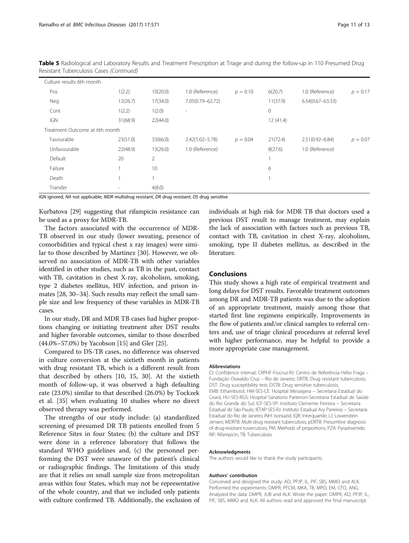| Culture results 6th month      |          |                |                     |            |              |                      |            |
|--------------------------------|----------|----------------|---------------------|------------|--------------|----------------------|------------|
| Pos                            | 1(2.2)   | 10(20.0)       | 1.0 (Reference)     | $p = 0.10$ | 6(20.7)      | 1.0 (Reference)      | $p = 0.17$ |
| Neg                            | 12(26.7) | 17(34.0)       | 7.05(0.79-62.72)    |            | 11(37.9)     | $6.54(0.67 - 63.33)$ |            |
| Cont                           | 1(2.2)   | 1(2.0)         | $\sim$              |            | $\mathbf{0}$ |                      |            |
| <b>IGN</b>                     | 31(68.9) | 22(44.0)       |                     |            | 12(41.4)     |                      |            |
| Treatment Outcome at 6th month |          |                |                     |            |              |                      |            |
| Favourable                     | 23(51.0) | 33(66.0)       | $2.42(1.02 - 5.78)$ | $p = 0.04$ | 21(72.4)     | $2.51(0.92 - 6.84)$  | $p = 0.07$ |
| Unfavourable                   | 22(48.9) | 13(26.0)       | 1.0 (Reference)     |            | 8(27.6)      | 1.0 (Reference)      |            |
| Default                        | 20       | $\overline{2}$ |                     |            |              |                      |            |
| Failure                        |          | 10             |                     |            | 6            |                      |            |
| Death                          |          |                |                     |            |              |                      |            |
| Transfer                       |          | 4(8.0)         |                     |            |              |                      |            |

Table 5 Radiological and Laboratory Results and Treatment Prescription at Triage and during the follow-up in 110 Presumed Drug Resistant Tuberculosis Cases (Continued)

IGN ignored, NA not applicable, MDR multidrug resistant, DR drug resistant; DS drug sensitive

Kurbatova [\[29](#page-12-0)] suggesting that rifampicin resistance can be used as a proxy for MDR-TB.

The factors associated with the occurrence of MDR-TB observed in our study (lower sweating, presence of comorbidities and typical chest x ray images) were similar to those described by Martinez [\[30](#page-12-0)]. However, we observed no association of MDR-TB with other variables identified in other studies, such as TB in the past, contact with TB, cavitation in chest X-ray, alcoholism, smoking, type 2 diabetes mellitus, HIV infection, and prison inmates [\[28, 30](#page-12-0)–[34\]](#page-12-0). Such results may reflect the small sample size and low frequency of these variables in MDR-TB cases.

In our study, DR and MDR TB cases had higher proportions changing or initiating treatment after DST results and higher favorable outcomes, similar to those described (44.0%–57.0%) by Yacobson [[15](#page-11-0)] and Gler [[25](#page-11-0)].

Compared to DS-TB cases, no difference was observed in culture conversion at the sixtieth month in patients with drug resistant TB, which is a different result from that described by others [\[10](#page-11-0), [15,](#page-11-0) [30](#page-12-0)]. At the sixtieth month of follow-up, it was observed a high defaulting rate (23.0%) similar to that described (26.0%) by Tockzek et al. [[35](#page-12-0)] when evaluating 10 studies where no direct observed therapy was performed.

The strengths of our study include: (a) standardized screening of presumed DR TB patients enrolled from 5 Reference Sites in four States; (b) the culture and DST were done in a reference laboratory that follows the standard WHO guidelines and, (c) the personnel performing the DST were unaware of the patient's clinical or radiographic findings. The limitations of this study are that it relies on small sample size from metropolitan areas within four States, which may not be representative of the whole country, and that we included only patients with culture confirmed TB. Additionally, the exclusion of

individuals at high risk for MDR TB that doctors used a previous DST result to manage treatment, may explain the lack of association with factors such as previous TB, contact with TB, cavitation in chest X-ray, alcoholism, smoking, type II diabetes mellitus, as described in the literature.

#### Conclusions

This study shows a high rate of empirical treatment and long delays for DST results. Favorable treatment outcomes among DR and MDR-TB patients was due to the adoption of an appropriate treatment, mainly among those that started first line regimens empirically. Improvements in the flow of patients and/or clinical samples to referral centers and, use of triage clinical procedures at referral level with higher performance, may be helpful to provide a more appropriate case management.

#### **Abbreviations**

CI: Confidence interval; CRPHF-Fiocruz-RJ: Centro de Referência Hélio Fraga – Fundação Oswaldo Cruz – Rio de Janeiro; DRTB: Drug resistant tuberculosis; DST: Drug susceptibility test; DSTB: Drug sensitive tuberculosis; EMB: Ethambutol; HM-SES-CE: Hospital Messejana – Secretaria Estadual do Ceará; HU-SES-RGS: Hospital Sanatorio Partenon-Secretaria Estadual de Saúde do Rio Grande do Sul; ICF-SES-SP: Instituto Clemente Ferreira – Secretaria Estadual de São Paulo; IETAP-SES-RJ: Instituto Estadual Ary Parreiras – Secretaria Estadual do Rio de Janeiro; INH: Isoniazid; IQR: Interquartile; LJ: Lowenstein Jensen; MDRTB: Multi-drug resistant tuberculosis; pDRTB: Presumtive diagnosis of drug-resistant tuverculosis; PM: Methods of proportions; PZA: Pyrazinamide; RIF: Rifampicin; TB: Tuberculosis

#### Acknowledgments

The authors would like to thank the study participants.

#### Authors' contribution

Conceived and designed the study: AD, PPJP, IL, PIF, SBS, MMO and ALK. Performed the experiments: DMPR, PFCM, MKA, TB, MPD, EM, CFD, ANG. Analyzed the data: DMPR, JUB and ALK. Wrote the paper: DMPR, AD, PPJP, IL, PIF, SBS, MMO and ALK. All authors read and approved the final manuscript.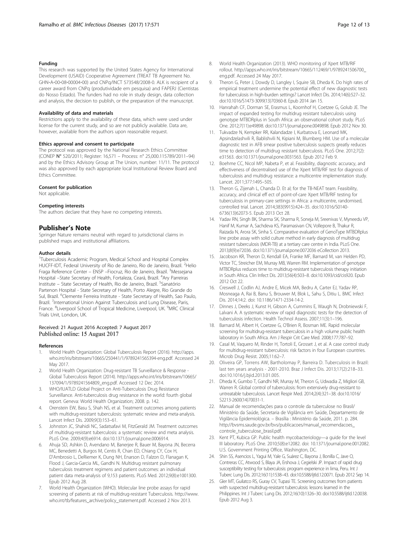#### <span id="page-11-0"></span>Funding

This research was supported by the United States Agency for International Development (USAID) Cooperative Agreement (TREAT TB Agreement No. GHN‐A‐00‐08‐00004‐00) and CNPq/INCT 573548/2008-0. ALK is recipient of a career award from CNPq (produtividade em pesquisa) and FAPERJ (Cientistas do Nosso Estado). The funders had no role in study design, data collection and analysis, the decision to publish, or the preparation of the manuscript.

#### Availability of data and materials

Restrictions apply to the availability of these data, which were used under license for the current study, and so are not publicly available. Data are, however, available from the authors upon reasonable request.

#### Ethics approval and consent to participate

The protocol was approved by the National Research Ethics Committee (CONEP N° 520/2011; Register: 16,571 – Process: n° 25,000.115789/2011–94) and by the Ethics Advisory Group at The Union, number: 11/11. The protocol was also approved by each appropriate local Institutional Review Board and Ethics Committee.

#### Consent for publication

Not applicable.

#### Competing interests

The authors declare that they have no competing interests.

#### Publisher's Note

Springer Nature remains neutral with regard to jurisdictional claims in published maps and institutional affiliations.

#### Author details

<sup>1</sup>Tuberculosis Academic Program, Medical School and Hospital Complex HUCFF-IDT, Federal University of Rio de Janeiro, Rio de Janeiro, Brazil. <sup>2</sup>Helio Fraga Reference Center – ENSP –Fiocruz, Rio de Janeiro, Brazil. <sup>3</sup>Messejana Hospital –State Secretary of Health, Fortaleza, Ceará, Brazil. <sup>4</sup>Ary Parreiras Institute – State Secretary of Health, Rio de Janeiro, Brazil. <sup>5</sup>Sanatório Partenon Hospital - State Secretary of Health, Porto Alegre, Rio Grande do Sul, Brazil. <sup>6</sup>Clemente Ferreira Institute - State Secretary of Health, Sao Paulo, Brazil. <sup>7</sup>International Union Against Tuberculosis and Lung Disease, Paris, France. <sup>8</sup>Liverpool School of Tropical Medicine, Liverpool, UK. <sup>9</sup>MRC Clinical Trials Unit, London, UK.

#### Received: 21 August 2016 Accepted: 7 August 2017 Published online: 15 August 2017

#### References

- 1. World Health Organization: Global Tuberculosis Report (2016). [http://apps.](http://apps.who.int/iris/bitstream/10665/250441/1/9789241565394-eng.pdf) [who.int/iris/bitstream/10665/250441/1/9789241565394-eng.pdf](http://apps.who.int/iris/bitstream/10665/250441/1/9789241565394-eng.pdf). Accessed 24 May 2017.
- 2. World Health Organization: Drug-resistant TB Surveillance & Response -Global Tuberculosis Report (2014). [http://apps.who.int/iris/bitstream/10665/](http://apps.who.int/iris/bitstream/10665/137094/1/9789241564809_eng.pdf) [137094/1/9789241564809\\_eng.pdf](http://apps.who.int/iris/bitstream/10665/137094/1/9789241564809_eng.pdf). Accessed 12 Dec 2014.
- 3. WHO/IUATLD Global Project on Anti-Tuberculosis Drug Resistance Surveillance. Anti-tuberculosis drug resistance in the world: fourth global report. Geneva: World Health Organization; 2008. p. 142.
- 4. Orenstein EW, Basu S, Shah NS, et al. Treatment outcomes among patients with multidrug-resistant tuberculosis: systematic review and meta-analysis. Lancet Infect Dis. 2009;9(3):153–61.
- 5. Johnston JC, Shahidi NC, Sadatsafavi M, FitzGerald JM. Treatment outcomes of multidrug-resistant tuberculosis: a systematic review and meta analysis. PLoS One. 2009;4(9):e6914. doi[:10.1371/journal.pone.0006914.](http://dx.doi.org/10.1371/journal.pone.0006914)
- 6. Ahuja SD, Ashkin D, Avendano M, Banerjee R, Bauer M, Bayona JN, Becerra MC, Benedetti A, Burgos M, Centis R, Chan ED, Chiang CY, Cox H, D'Ambrosio L, DeRiemer K, Dung NH, Enarson D, Falzon D, Flanagan K, Flood J, Garcia-Garcia ML, Gandhi N. Multidrug resistant pulmonary tuberculosis treatment regimens and patient outcomes: an individual patient data meta-analysis of 9,153 patients. PLoS Med. 2012;9(8):e1001300. Epub 2012 Aug 28.
- 7. World Health Organization (WHO). Molecular line probe assays for rapid screening of patients at risk of multidrug-resistant Tuberculosis. [http://www.](http://www.who.int/tb/features_archive/policy_statement.pdf) [who.int/tb/features\\_archive/policy\\_statement.pdf](http://www.who.int/tb/features_archive/policy_statement.pdf). Accessed 2 Nov 2013.
- 8. World Health Organization (2013). WHO monitoring of Xpert MTB/RIF rollout. [http://apps.who.int/iris/bitstream/10665/112469/1/9789241506700\\_](http://apps.who.int/iris/bitstream/10665/112469/1/9789241506700_eng.pdf) [eng.pdf.](http://apps.who.int/iris/bitstream/10665/112469/1/9789241506700_eng.pdf) Accessed 24 May 2017.
- Theron G, Peter J, Dowdy D, Langley I, Squire SB, Dheda K. Do high rates of empirical treatment undermine the potential effect of new diagnostic tests for tuberculosis in high-burden settings? Lancet Infect Dis. 2014;14(6):527–32. doi:[10.1016/S1473-3099\(13\)70360-8.](http://dx.doi.org/10.1016/S1473-3099(13)70360-8) Epub 2014 Jan 15.
- 10. Hanrahah CF, Dorman SE, Erasmus L, Koornhof H, Coetzee G, Golub JE. The impact of expanded testing for multidrug resistant tuberculosis using genotype MTBDRplus in South Africa: an observational cohort study. PLoS One. 2012;7(11):e49898. doi[:10.1371/journal.pone.0049898](http://dx.doi.org/10.1371/journal.pone.0049898). Epub 2012 Nov 30.
- 11. Tukvadze N, Kempker RR, Kalandadze I, Kurbatova E, Leonard MK, Apsindzelashvili R, Bablishvili N, Kipiani M, Blumberg HM. Use of a molecular diagnostic test in AFB smear positive tuberculosis suspects greatly reduces time to detection of multidrug resistant tuberculosis. PLoS One. 2012;7(2): e31563. doi:[10.1371/journal.pone.0031563.](http://dx.doi.org/10.1371/journal.pone.0031563) Epub 2012 Feb 9.
- 12. Boehme CC, Nicol MP, Nabeta P, et al. Feasibility, diagnostic accuracy, and effectiveness of decentralised use of the Xpert MTB/RIF test for diagnosis of tuberculosis and multidrug resistance: a multicentre implementation study. Lancet. 2011;377:1495–505.
- 13. Theron G, Zijenah L, Chanda D. Et al; for the TB-NEAT team. Feasibility, accuracy, and clinical eff ect of point-of-care Xpert MTB/RIF testing for tuberculosis in primary-care settings in Africa: a multicentre, randomised, controlled trial. Lancet. 2014;383(9915):424–35. doi:[10.1016/S0140-](http://dx.doi.org/10.1016/S0140-6736(13)62073-5) [6736\(13\)62073-5](http://dx.doi.org/10.1016/S0140-6736(13)62073-5). Epub 2013 Oct 28.
- 14. Yadav RN, Singh BK, Sharma SK, Sharma R, Soneja M, Sreenivas V, Myneedu VP, Hanif M, Kumar A, Sachdeva KS, Paramasivan CN, Vollepore B, Thakur R, Raizada N, Arora SK, Sinha S. Comparative evaluation of GenoType MTBDRplus line probe assay with solid culture method in early diagnosis of multidrug resistant tuberculosis (MDR-TB) at a tertiary care centre in India. PLoS One. 2013;8(9):e72036. doi[:10.1371/journal.pone.0072036 eCollection 2013.](http://dx.doi.org/10.1371/journal.pone.0072036 eCollection 2013)
- 15. Jacobson KR, Theron D, Kendall EA, Franke MF, Barnard M, van Helden PD, Victor TC, Streicher EM, Murray MB, Warren RM. Implementation of genotype MTBDRplus reduces time to multidrug-resistant tuberculosis therapy initiation in South Africa. Clin Infect Dis. 2013;56(4):503–8. doi[:10.1093/cid/cis920.](http://dx.doi.org/10.1093/cid/cis920) Epub 2012 Oct 22.
- 16. Creswell J, Codlin AJ, Andre E, Micek MA, Bedru A, Carter EJ, Yadav RP, Mosneaga A, Rai B, Banu S, Brouwer M, Blok L, Sahu S, Ditiu L. BMC Infect Dis. 2014;14:2. doi: [10.1186/1471-2334-14-2.](http://dx.doi.org/10.1186/1471-2334-14-2)
- 17. Dinnes J, Deeks J, Kunst H, Gibson A, Cummins E, Waugh N, Drobniewski F, Lalvani A. A systematic review of rapid diagnostic tests for the detection of tuberculosis infection. Health Technol Assess. 2007;11(3):1–196.
- 18. Barnard M, Albert H, Coetzee G, O'Brien R, Bosman ME. Rapid molecular screening for multidrug-resistant tuberculosis in a high volume public health laboratory in South Africa. Am J Respir Crit Care Med. 2008;177:787–92.
- 19. Casal M, Vaquero M, Rinder H, Tortoli E, Grosset J, et al. A case control study for multidrug-resistant tuberculosis: risk factors in four European countries. Microb Drug Resist. 2005;11:62–7.
- 20. Oliveira GP, Torrens AW, Bartholomay P, Barreira D. Tuberculosis in Brazil: last ten years analysis - 2001-2010. Braz J Infect Dis. 2013;17(2):218–33. doi:[10.1016/j.bjid.2013.01.005](http://dx.doi.org/10.1016/j.bjid.2013.01.005).
- 21. Dheda K, Gumbo T, Gandhi NR, Murray M, Theron G, Udwadia Z, Migliori GB, Warren R. Global control of tuberculosis: from extensively drug-resistant to untreatable tuberculosis. Lancet Respir Med. 2014;2(4):321–38. doi:[10.1016/](http://dx.doi.org/10.1016/S2213-2600(14)70031-1) [S2213-2600\(14\)70031-1.](http://dx.doi.org/10.1016/S2213-2600(14)70031-1)
- 22. Manual de recomendações para o controle da tuberculose no Brasil/ Ministério da Saúde, Secretaria de Vigilância em Saúde, Departamento de Vigilância Epidemiológica. – Brasília : Ministério da Saúde, 2011. p. 284. [http://bvsms.saude.gov.br/bvs/publicacoes/manual\\_recomendacoes\\_](http://bvsms.saude.gov.br/bvs/publicacoes/manual_recomendacoes_controle_tuberculose_brasil.pdf) [controle\\_tuberculose\\_brasil.pdf](http://bvsms.saude.gov.br/bvs/publicacoes/manual_recomendacoes_controle_tuberculose_brasil.pdf).
- 23. Kent PT, Kubica GP. Public health mycobacteriology—a guide for the level III laboratory. PLoS One. 2010;5(8):e12082. doi: [10.1371/journal.pone.0012082](http://dx.doi.org/10.1371/journal.pone.0012082). U.S. Government Printing Office, Washington, DC.
- 24. Shin SS, Asencios L, Yagui M, Yale G, Suárez C, Bayona J, Bonilla C, Jave O, Contreras CC, Atwood S, Blaya JA, Ershova J, Cegielski JP. Impact of rapid drug susceptibility testing for tuberculosis: program experience in lima, Peru. Int J Tuberc Lung Dis. 2012;16(11):1538–43. doi[:10.5588/ijtld.12.0071](http://dx.doi.org/10.5588/ijtld.12.0071). Epub 2012 Sep 14.
- 25. Gler MT, Guilatco RS, Guray CV, Tupasi TE. Screening outcomes from patients with suspected multidrug-resistant tuberculosis: lessons learned in the Philippines. Int J Tuberc Lung Dis. 2012;16(10):1326–30. doi:[10.5588/ijtld.12.0038.](http://dx.doi.org/10.5588/ijtld.12.0038) Epub 2012 Aug 3.